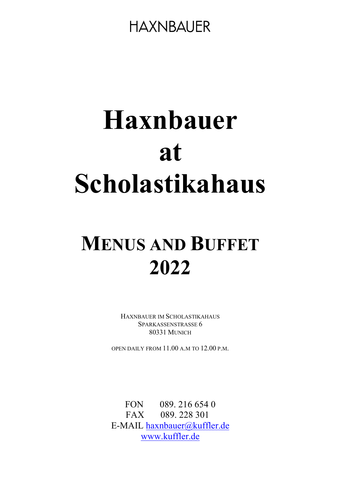# Haxnbauer at Scholastikahaus

# MENUS AND BUFFET 2022

HAXNBAUER IM SCHOLASTIKAHAUS SPARKASSENSTRASSE 6 80331 MUNICH

OPEN DAILY FROM 11.00 A.M TO 12.00 P.M.

FON 089. 216 654 0 FAX 089.228 301 E-MAIL haxnbauer@kuffler.de www.kuffler.de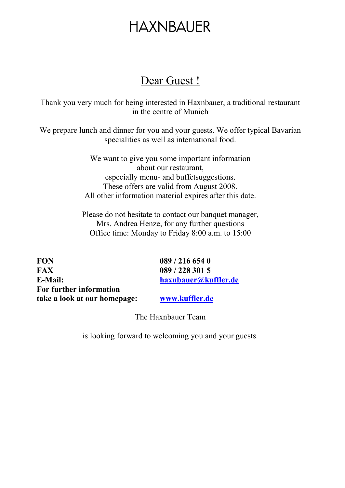### Dear Guest !

Thank you very much for being interested in Haxnbauer, a traditional restaurant in the centre of Munich

We prepare lunch and dinner for you and your guests. We offer typical Bavarian specialities as well as international food.

> We want to give you some important information about our restaurant, especially menu- and buffetsuggestions. These offers are valid from August 2008. All other information material expires after this date.

Please do not hesitate to contact our banquet manager, Mrs. Andrea Henze, for any further questions Office time: Monday to Friday 8:00 a.m. to 15:00

FON 089 / 216 654 0 FAX 089 / 228 301 5 E-Mail: haxnbauer@kuffler.de For further information take a look at our homepage: www.kuffler.de

The Haxnbauer Team

is looking forward to welcoming you and your guests.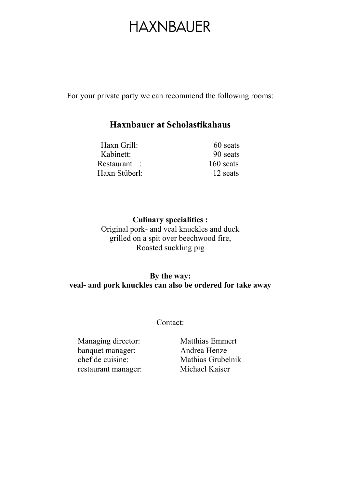For your private party we can recommend the following rooms:

#### Haxnbauer at Scholastikahaus

| Haxn Grill:   | 60 seats    |
|---------------|-------------|
| Kabinett:     | 90 seats    |
| Restaurant :  | $160$ seats |
| Haxn Stüberl: | 12 seats    |

Culinary specialities : Original pork- and veal knuckles and duck grilled on a spit over beechwood fire, Roasted suckling pig

#### By the way: veal- and pork knuckles can also be ordered for take away

#### Contact:

Managing director: Matthias Emmert banquet manager: Andrea Henze chef de cuisine: Mathias Grubelnik restaurant manager: Michael Kaiser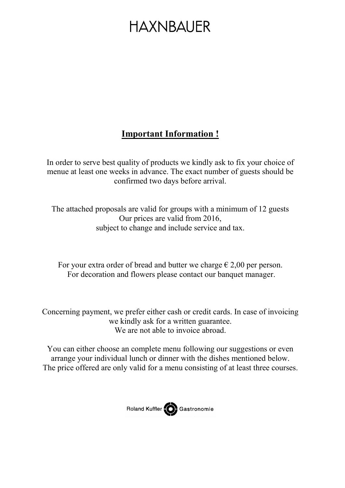### Important Information !

In order to serve best quality of products we kindly ask to fix your choice of menue at least one weeks in advance. The exact number of guests should be confirmed two days before arrival.

The attached proposals are valid for groups with a minimum of 12 guests Our prices are valid from 2016, subject to change and include service and tax.

For your extra order of bread and butter we charge  $\epsilon$  2,00 per person. For decoration and flowers please contact our banquet manager.

Concerning payment, we prefer either cash or credit cards. In case of invoicing we kindly ask for a written guarantee. We are not able to invoice abroad.

You can either choose an complete menu following our suggestions or even arrange your individual lunch or dinner with the dishes mentioned below. The price offered are only valid for a menu consisting of at least three courses.

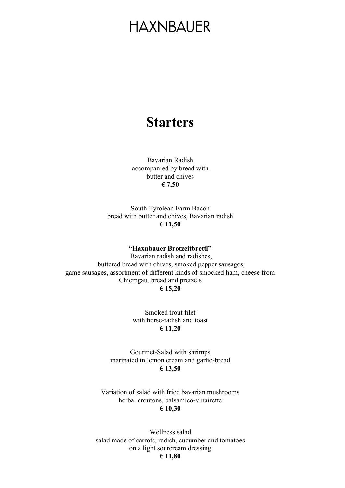### **Starters**

Bavarian Radish accompanied by bread with butter and chives € 7,50

South Tyrolean Farm Bacon bread with butter and chives, Bavarian radish € 11,50

#### "Haxnbauer Brotzeitbrettl"

 Bavarian radish and radishes, buttered bread with chives, smoked pepper sausages, game sausages, assortment of different kinds of smocked ham, cheese from Chiemgau, bread and pretzels € 15,20

> Smoked trout filet with horse-radish and toast € 11,20

Gourmet-Salad with shrimps marinated in lemon cream and garlic-bread € 13,50

Variation of salad with fried bavarian mushrooms herbal croutons, balsamico-vinairette € 10,30

Wellness salad salad made of carrots, radish, cucumber and tomatoes on a light sourcream dressing € 11,80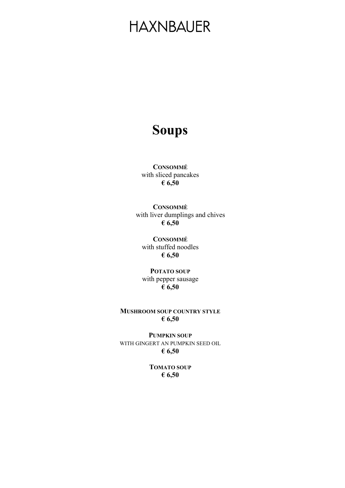### Soups

CONSOMMÉ with sliced pancakes € 6,50

**CONSOMMÈ** with liver dumplings and chives € 6,50

**CONSOMMÉ** with stuffed noodles € 6,50

POTATO SOUP with pepper sausage € 6,50

MUSHROOM SOUP COUNTRY STYLE € 6,50

PUMPKIN SOUP WITH GINGERT AN PUMPKIN SEED OIL € 6,50

> TOMATO SOUP € 6,50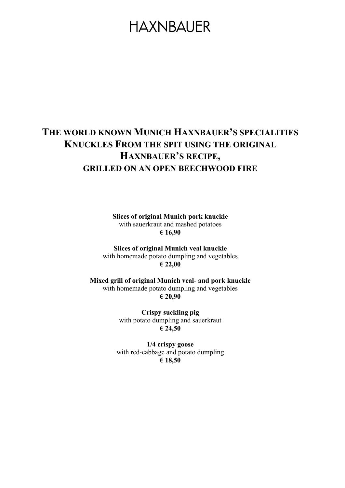### THE WORLD KNOWN MUNICH HAXNBAUER'S SPECIALITIES KNUCKLES FROM THE SPIT USING THE ORIGINAL HAXNBAUER'S RECIPE, GRILLED ON AN OPEN BEECHWOOD FIRE

Slices of original Munich pork knuckle with sauerkraut and mashed potatoes € 16,90

Slices of original Munich veal knuckle with homemade potato dumpling and vegetables € 22,00

Mixed grill of original Munich veal- and pork knuckle with homemade potato dumpling and vegetables € 20,90

> Crispy suckling pig with potato dumpling and sauerkraut € 24,50

1/4 crispy goose with red-cabbage and potato dumpling € 18,50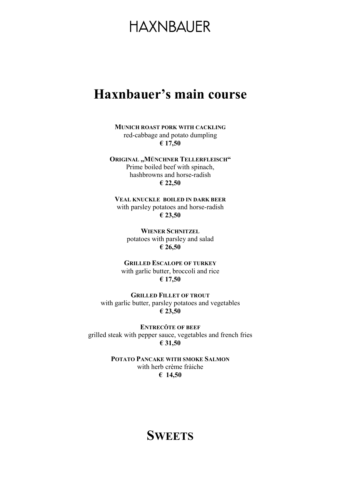### Haxnbauer's main course

MUNICH ROAST PORK WITH CACKLING red-cabbage and potato dumpling € 17,50

ORIGINAL "MÜNCHNER TELLERFLEISCH" Prime boiled beef with spinach, hashbrowns and horse-radish € 22,50

VEAL KNUCKLE BOILED IN DARK BEER with parsley potatoes and horse-radish € 23,50

> WIENER SCHNITZEL potatoes with parsley and salad € 26,50

GRILLED ESCALOPE OF TURKEY with garlic butter, broccoli and rice € 17,50

GRILLED FILLET OF TROUT with garlic butter, parsley potatoes and vegetables € 23,50

ENTRECÔTE OF BEEF grilled steak with pepper sauce, vegetables and french fries € 31,50

> POTATO PANCAKE WITH SMOKE SALMON with herb crème fràiche € 14,50

### **SWEETS**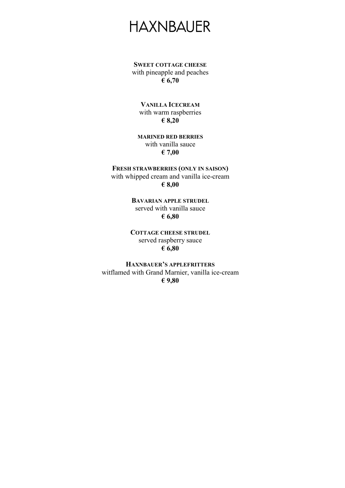SWEET COTTAGE CHEESE with pineapple and peaches € 6,70

VANILLA ICECREAM with warm raspberries € 8,20

MARINED RED BERRIES with vanilla sauce € 7,00

FRESH STRAWBERRIES (ONLY IN SAISON) with whipped cream and vanilla ice-cream € 8,00

> BAVARIAN APPLE STRUDEL served with vanilla sauce € 6,80

COTTAGE CHEESE STRUDEL served raspberry sauce  $\bar{\epsilon}$  6,80

HAXNBAUER'S APPLEFRITTERS witflamed with Grand Marnier, vanilla ice-cream € 9,80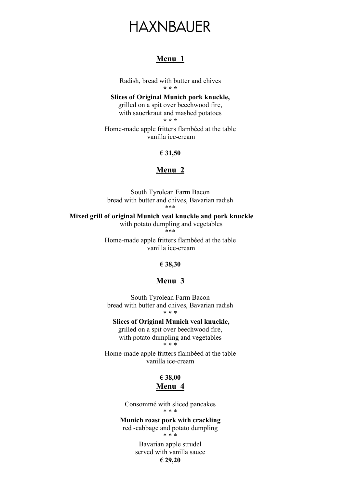#### Menu 1

Radish, bread with butter and chives \* \* \*

Slices of Original Munich pork knuckle, grilled on a spit over beechwood fire, with sauerkraut and mashed potatoes \* \* \*

Home-made apple fritters flambéed at the table vanilla ice-cream

€ 31,50

#### Menu 2

South Tyrolean Farm Bacon bread with butter and chives, Bavarian radish \*\*\*

 Mixed grill of original Munich veal knuckle and pork knuckle with potato dumpling and vegetables \*\*\*

> Home-made apple fritters flambéed at the table vanilla ice-cream

#### € 38,30

#### Menu 3

South Tyrolean Farm Bacon bread with butter and chives, Bavarian radish \* \* \*

 Slices of Original Munich veal knuckle, grilled on a spit over beechwood fire, with potato dumpling and vegetables \* \* \*

Home-made apple fritters flambéed at the table vanilla ice-cream

#### € 38,00 Menu 4

Consommé with sliced pancakes \* \* \*

Munich roast pork with crackling red -cabbage and potato dumpling

\* \* \*

Bavarian apple strudel served with vanilla sauce € 29,20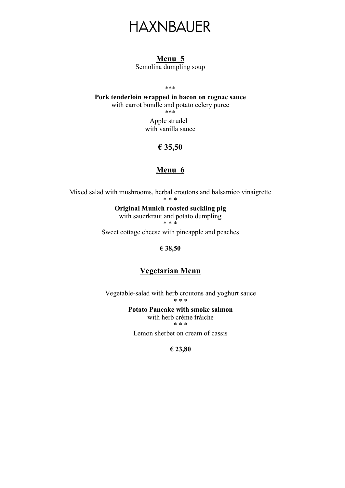#### Menu 5

Semolina dumpling soup

\*\*\*

Pork tenderloin wrapped in bacon on cognac sauce with carrot bundle and potato celery puree \*\*\*

> Apple strudel with vanilla sauce

#### € 35,50

#### Menu 6

Mixed salad with mushrooms, herbal croutons and balsamico vinaigrette \* \* \*

Original Munich roasted suckling pig with sauerkraut and potato dumpling \* \* \*

Sweet cottage cheese with pineapple and peaches

€ 38,50

#### Vegetarian Menu

Vegetable-salad with herb croutons and yoghurt sauce \* \* \*

> Potato Pancake with smoke salmon with herb crème fràiche

\* \* \*

Lemon sherbet on cream of cassis

€ 23,80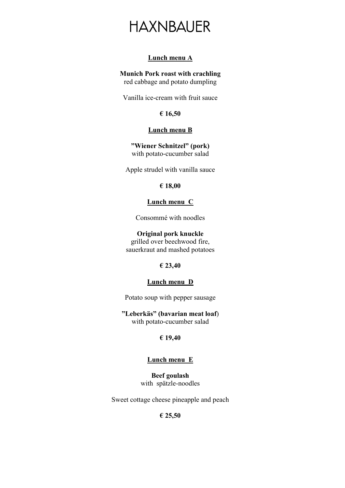#### Lunch menu A

Munich Pork roast with crachling red cabbage and potato dumpling

Vanilla ice-cream with fruit sauce

€ 16,50

#### Lunch menu B

"Wiener Schnitzel" (pork) with potato-cucumber salad

Apple strudel with vanilla sauce

€ 18,00

#### Lunch menu C

Consommé with noodles

#### Original pork knuckle

grilled over beechwood fire, sauerkraut and mashed potatoes

#### € 23,40

#### Lunch menu D

Potato soup with pepper sausage

"Leberkäs" (bavarian meat loaf) with potato-cucumber salad

#### € 19,40

#### Lunch menu E

Beef goulash with spätzle-noodles

Sweet cottage cheese pineapple and peach

#### € 25,50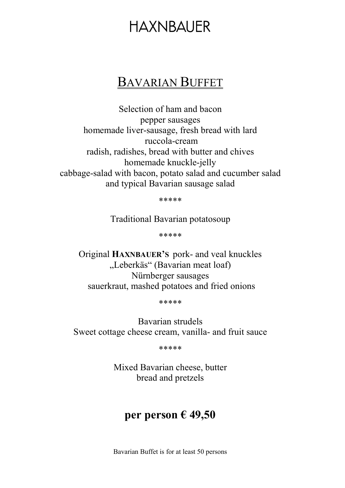### BAVARIAN BUFFET

Selection of ham and bacon pepper sausages homemade liver-sausage, fresh bread with lard ruccola-cream radish, radishes, bread with butter and chives homemade knuckle-jelly cabbage-salad with bacon, potato salad and cucumber salad and typical Bavarian sausage salad

\*\*\*\*\*

Traditional Bavarian potatosoup

\*\*\*\*\*

Original HAXNBAUER'S pork- and veal knuckles "Leberkäs" (Bavarian meat loaf) Nürnberger sausages sauerkraut, mashed potatoes and fried onions

\*\*\*\*\*

Bavarian strudels Sweet cottage cheese cream, vanilla- and fruit sauce

\*\*\*\*\*

Mixed Bavarian cheese, butter bread and pretzels

### per person € 49,50

Bavarian Buffet is for at least 50 persons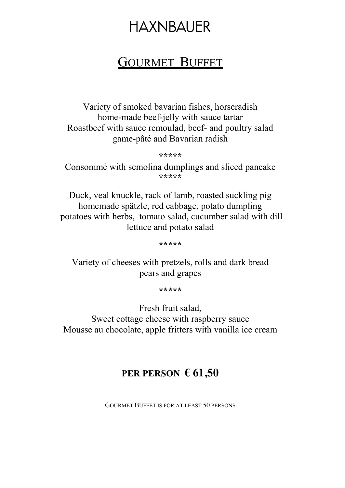### **GOURMET BUFFET**

Variety of smoked bavarian fishes, horseradish home-made beef-jelly with sauce tartar Roastbeef with sauce remoulad, beef- and poultry salad game-pâté and Bavarian radish

\*\*\*\*\*

Consommé with semolina dumplings and sliced pancake \*\*\*\*\*

Duck, veal knuckle, rack of lamb, roasted suckling pig homemade spätzle, red cabbage, potato dumpling potatoes with herbs, tomato salad, cucumber salad with dill lettuce and potato salad

\*\*\*\*\*

Variety of cheeses with pretzels, rolls and dark bread pears and grapes

\*\*\*\*\*

Fresh fruit salad, Sweet cottage cheese with raspberry sauce Mousse au chocolate, apple fritters with vanilla ice cream

### PER PERSON  $\epsilon$  61,50

GOURMET BUFFET IS FOR AT LEAST 50 PERSONS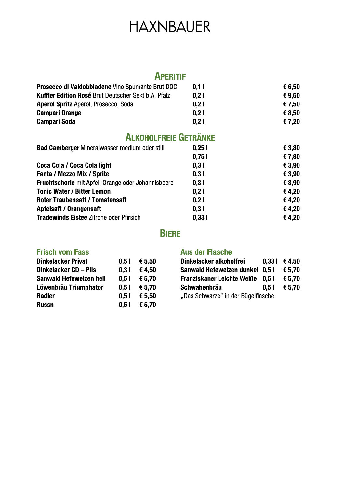### **APERITIF**

| <b>Prosecco di Valdobbiadene</b> Vino Spumante Brut DOC | 0,11 | € 6,50 |
|---------------------------------------------------------|------|--------|
| Kuffler Edition Rosé Brut Deutscher Sekt b.A. Pfalz     | 0.21 | €9.50  |
| <b>Aperol Spritz Aperol, Prosecco, Soda</b>             | 0,21 | € 7,50 |
| <b>Campari Orange</b>                                   | 0.21 | € 8.50 |
| <b>Campari Soda</b>                                     | 0.21 | € 7,20 |
|                                                         |      |        |

### **ALKOHOLFREIE GETRÄNKE**

| <b>Bad Camberger Mineralwasser medium oder still</b>      | 0,251 | € 3,80 |
|-----------------------------------------------------------|-------|--------|
|                                                           | 0,751 | €7,80  |
| Coca Cola / Coca Cola light                               | 0,31  | € 3,90 |
| <b>Fanta / Mezzo Mix / Sprite</b>                         | 0,31  | € 3,90 |
| <b>Fruchtschorle</b> mit Apfel, Orange oder Johannisbeere | 0,31  | € 3,90 |
| <b>Tonic Water / Bitter Lemon</b>                         | 0,21  | €4,20  |
| <b>Roter Traubensaft / Tomatensaft</b>                    | 0,21  | €4,20  |
| Apfelsaft / Orangensaft                                   | 0.31  | €4,20  |
| <b>Tradewinds Eistee Zitrone oder Pfirsich</b>            | 0,331 | €4,20  |

### **BIERE**

#### **Frisch vom Fass**

| <b>Dinkelacker Privat</b>      | 0,51 | € 5,50 |
|--------------------------------|------|--------|
| Dinkelacker CD - Pils          | 0.31 | €4,50  |
| <b>Sanwald Hefeweizen hell</b> | 0.51 | € 5,70 |
| Löwenbräu Triumphator          | 0.51 | € 5,70 |
| Radler                         | 0.51 | € 5,50 |
| <b>Russn</b>                   | 0.51 | € 5,70 |

#### **Aus der Flasche**

| Dinkelacker alkoholfrei            |      | $0,33$   €4,50 |  |  |
|------------------------------------|------|----------------|--|--|
| Sanwald Hefeweizen dunkel 0.5 l    |      | € 5.70         |  |  |
| Franziskaner Leichte Weiße 0,5 l   |      | € 5.70         |  |  |
| <b>Schwabenbräu</b>                | 0.51 | € 5.70         |  |  |
| "Das Schwarze" in der Bügelflasche |      |                |  |  |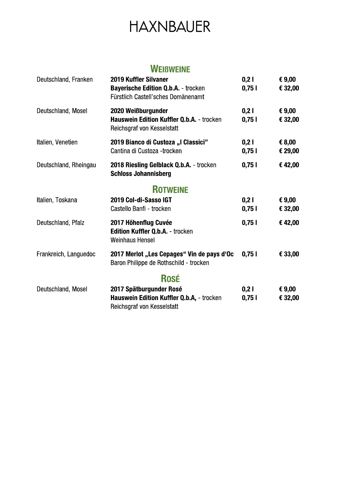### **WEIBWEINE**

| Deutschland, Franken  | <b>2019 Kuffler Silvaner</b><br><b>Bayerische Edition Q.b.A. - trocken</b><br>Fürstlich Castell'sches Domänenamt | 0,21<br>0,751 | € $9,00$<br>€ 32,00 |
|-----------------------|------------------------------------------------------------------------------------------------------------------|---------------|---------------------|
| Deutschland, Mosel    | 2020 Weißburgunder<br>Hauswein Edition Kuffler Q.b.A. - trocken<br>Reichsgraf von Kesselstatt                    | 0,21<br>0,751 | € $9,00$<br>€ 32,00 |
| Italien, Venetien     | 2019 Bianco di Custoza "I Classici"<br>Cantina di Custoza -trocken                                               | 0,21<br>0,751 | € 8,00<br>€ 29,00   |
| Deutschland, Rheingau | 2018 Riesling Gelblack Q.b.A. - trocken<br><b>Schloss Johannisberg</b>                                           | 0,751         | €42,00              |
|                       | <b>ROTWEINE</b>                                                                                                  |               |                     |
| Italien, Toskana      | 2019 Col-di-Sasso IGT<br>Castello Banfi - trocken                                                                | 0,21<br>0,751 | € 9,00<br>€ 32,00   |
| Deutschland, Pfalz    | 2017 Höhenflug Cuvée<br>Edition Kuffler Q.b.A. - trocken<br><b>Weinhaus Hensel</b>                               | 0,751         | €42,00              |
| Frankreich, Languedoc | 2017 Merlot "Les Cepages" Vin de pays d'Oc<br>Baron Philippe de Rothschild - trocken                             | 0,751         | € 33,00             |
|                       | <b>Rosé</b>                                                                                                      |               |                     |
| Deutschland, Mosel    | 2017 Spätburgunder Rosé<br>Hauswein Edition Kuffler Q.b.A, - trocken<br>Reichsgraf von Kesselstatt               | 0,21<br>0,751 | € $9,00$<br>€ 32,00 |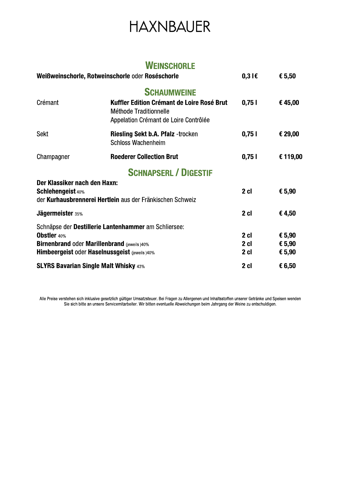### **WEINSCHORLE**

| Weißweinschorle, Rotweinschorle oder Roséschorle    |                                                                                                               | $0,3$ I $\epsilon$ | € 5,50   |
|-----------------------------------------------------|---------------------------------------------------------------------------------------------------------------|--------------------|----------|
|                                                     | <b>SCHAUMWEINE</b>                                                                                            |                    |          |
| Crémant                                             | Kuffler Edition Crémant de Loire Rosé Brut<br>Méthode Traditionnelle<br>Appelation Crémant de Loire Contrôlée | 0,751              | €45,00   |
| <b>Sekt</b>                                         | <b>Riesling Sekt b.A. Pfalz -trocken</b><br><b>Schloss Wachenheim</b>                                         | 0,751              | € 29,00  |
| Champagner                                          | <b>Roederer Collection Brut</b>                                                                               | 0,751              | € 119,00 |
|                                                     | <b>SCHNAPSERL / DIGESTIF</b>                                                                                  |                    |          |
| Der Klassiker nach den Haxn:                        |                                                                                                               |                    |          |
| <b>Schlehengeist 40%</b>                            | der Kurhausbrennerei Hertlein aus der Fränkischen Schweiz                                                     | 2 <sub>cl</sub>    | € 5,90   |
| <b>Jägermeister 35%</b>                             |                                                                                                               | 2 cl               | €4,50    |
|                                                     | Schnäpse der Destillerie Lantenhammer am Schliersee:                                                          |                    |          |
| <b>Obstler</b> 40%                                  |                                                                                                               | 2 <sub>cl</sub>    | € 5,90   |
| <b>Birnenbrand oder Marillenbrand (jeweils )40%</b> |                                                                                                               | 2 cl               | € 5,90   |
|                                                     | Himbeergeist oder Haselnussgeist (jeweils )40%                                                                | 2 cl               | € 5,90   |
|                                                     | <b>SLYRS Bavarian Single Malt Whisky 43%</b>                                                                  | 2 cl               | € 6,50   |

Alle Preise verstehen sich inklusive gesetzlich gültiger Umsatzsteuer. Bei Fragen zu Allergenen und Inhaltsstoffen unserer Getränke und Speisen wenden<br>Sie sich bitte an unsere Servicemitarbeiter. Wir bitten eventuelle Abwe